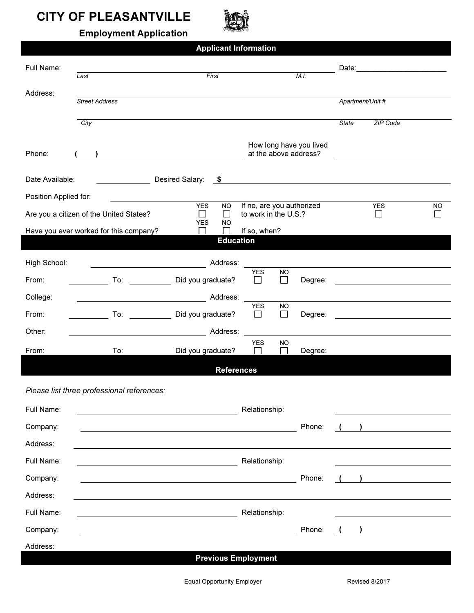## **CITY OF PLEASANTVILLE**



Employment Application Application

Applicant Information

| Full Name:                              | Last                                                                                                                                                                                                                           | First                                                                                                               |                              |                     | M.I.                                             |                  |                                                                                                                       |           |  |  |
|-----------------------------------------|--------------------------------------------------------------------------------------------------------------------------------------------------------------------------------------------------------------------------------|---------------------------------------------------------------------------------------------------------------------|------------------------------|---------------------|--------------------------------------------------|------------------|-----------------------------------------------------------------------------------------------------------------------|-----------|--|--|
| Address:                                | <b>Street Address</b>                                                                                                                                                                                                          |                                                                                                                     |                              |                     |                                                  | Apartment/Unit # |                                                                                                                       |           |  |  |
|                                         |                                                                                                                                                                                                                                |                                                                                                                     |                              |                     |                                                  |                  |                                                                                                                       |           |  |  |
|                                         | City                                                                                                                                                                                                                           |                                                                                                                     |                              |                     |                                                  | <b>State</b>     | ZIP Code                                                                                                              |           |  |  |
| Phone:                                  |                                                                                                                                                                                                                                |                                                                                                                     |                              |                     | How long have you lived<br>at the above address? |                  |                                                                                                                       |           |  |  |
| Date Available:                         |                                                                                                                                                                                                                                | Desired Salary:<br>$\sim$                                                                                           |                              |                     |                                                  |                  | <u> 1989 - John Stein, markin amerikan bizi da yang berkenal dan berkenal dan bisi dalam persentasi dan bisi dan</u>  |           |  |  |
| Position Applied for:                   |                                                                                                                                                                                                                                |                                                                                                                     |                              |                     |                                                  |                  |                                                                                                                       |           |  |  |
| Are you a citizen of the United States? |                                                                                                                                                                                                                                | If no, are you authorized<br><b>YES</b><br><b>NO</b><br>to work in the U.S.?<br>П<br>$\Box$                         |                              |                     |                                                  |                  | <b>YES</b><br>$\sim$                                                                                                  | <b>NO</b> |  |  |
|                                         | Have you ever worked for this company?                                                                                                                                                                                         | <b>YES</b><br><b>NO</b><br>$\mathbf{r}$                                                                             | If so, when?                 |                     |                                                  |                  |                                                                                                                       |           |  |  |
| <b>Education</b>                        |                                                                                                                                                                                                                                |                                                                                                                     |                              |                     |                                                  |                  |                                                                                                                       |           |  |  |
| High School:                            |                                                                                                                                                                                                                                | Address:                                                                                                            |                              |                     |                                                  |                  |                                                                                                                       |           |  |  |
| From:                                   |                                                                                                                                                                                                                                | To: Did you graduate?                                                                                               | <b>YES</b><br>$\blacksquare$ | <b>NO</b><br>П      | Degree:                                          |                  | <u> 1986 - Johann Stein, fransk kampens og det forskellige og det forskellige og det forskellige og det forskelli</u> |           |  |  |
| College:                                | <u> 1990 - Johann Barbara, martxa a</u>                                                                                                                                                                                        | Address:                                                                                                            |                              |                     |                                                  |                  |                                                                                                                       |           |  |  |
| From:                                   | To: the contract of the contract of the contract of the contract of the contract of the contract of the contract of the contract of the contract of the contract of the contract of the contract of the contract of the contra | Did you graduate?                                                                                                   | <b>YES</b><br>$\blacksquare$ | <b>NO</b><br>$\Box$ | Degree:                                          |                  |                                                                                                                       |           |  |  |
| Other:                                  |                                                                                                                                                                                                                                | Address:                                                                                                            |                              |                     |                                                  |                  |                                                                                                                       |           |  |  |
| From:                                   | To:                                                                                                                                                                                                                            | Did you graduate?                                                                                                   | <b>YES</b>                   | <b>NO</b><br>$\Box$ | Degree:                                          |                  |                                                                                                                       |           |  |  |
| <b>References</b>                       |                                                                                                                                                                                                                                |                                                                                                                     |                              |                     |                                                  |                  |                                                                                                                       |           |  |  |
|                                         | Please list three professional references:                                                                                                                                                                                     |                                                                                                                     |                              |                     |                                                  |                  |                                                                                                                       |           |  |  |
| Full Name:                              |                                                                                                                                                                                                                                |                                                                                                                     | Relationship:                |                     |                                                  |                  |                                                                                                                       |           |  |  |
| Company:                                |                                                                                                                                                                                                                                | <u> 1980 - Johann Barbara, martin da basar a shekara 1980 - An tsaran a shekara 1980 - An tsara 1980 - An tsara</u> |                              |                     | Phone:                                           |                  |                                                                                                                       |           |  |  |
| Address:                                |                                                                                                                                                                                                                                |                                                                                                                     |                              |                     |                                                  |                  |                                                                                                                       |           |  |  |
| Full Name:                              | Relationship:                                                                                                                                                                                                                  |                                                                                                                     |                              |                     |                                                  |                  |                                                                                                                       |           |  |  |
| Company:                                |                                                                                                                                                                                                                                | <u> 1989 - Johann Barbara, martxa alemaniar amerikan a</u>                                                          |                              |                     | Phone:                                           |                  |                                                                                                                       |           |  |  |
| Address:                                |                                                                                                                                                                                                                                |                                                                                                                     |                              |                     |                                                  |                  |                                                                                                                       |           |  |  |
| Full Name:                              | Relationship:                                                                                                                                                                                                                  |                                                                                                                     |                              |                     |                                                  |                  |                                                                                                                       |           |  |  |
| Company:                                |                                                                                                                                                                                                                                |                                                                                                                     |                              |                     | Phone:                                           |                  |                                                                                                                       |           |  |  |
| Address:                                |                                                                                                                                                                                                                                |                                                                                                                     |                              |                     |                                                  |                  |                                                                                                                       |           |  |  |
|                                         |                                                                                                                                                                                                                                | <b>Previous Employment</b>                                                                                          |                              |                     |                                                  |                  |                                                                                                                       |           |  |  |
|                                         |                                                                                                                                                                                                                                | <b>Equal Opportunity Employer</b>                                                                                   |                              |                     |                                                  |                  | Revised 8/2017                                                                                                        |           |  |  |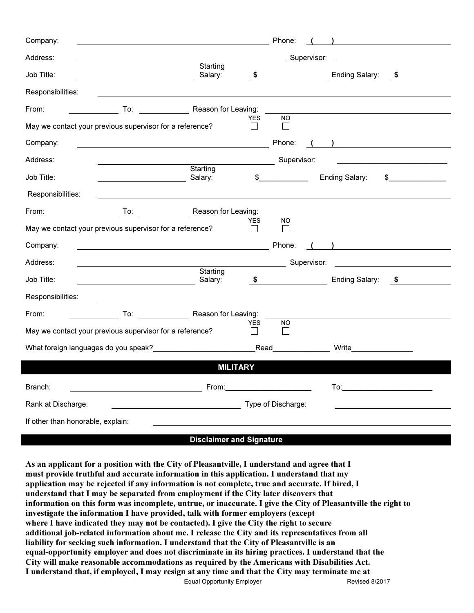| Company:                                           |                                                                                                                        |                         |                            | Phone:                                                                                                         |             | <u> 1980 - Andrea Station Barbara, amerikan per</u>                                                                                                                                                                            |  |  |  |
|----------------------------------------------------|------------------------------------------------------------------------------------------------------------------------|-------------------------|----------------------------|----------------------------------------------------------------------------------------------------------------|-------------|--------------------------------------------------------------------------------------------------------------------------------------------------------------------------------------------------------------------------------|--|--|--|
| Address:                                           |                                                                                                                        |                         |                            |                                                                                                                | Supervisor: | <u> 1980 - Jan Stein Harry Stein Harry Stein Harry Stein Harry Stein Harry Stein Harry Stein Harry Stein Harry S</u>                                                                                                           |  |  |  |
| Job Title:                                         |                                                                                                                        | Starting<br>Salary:     | \$                         |                                                                                                                |             | Ending Salary:<br>$\sqrt{5}$                                                                                                                                                                                                   |  |  |  |
| Responsibilities:                                  |                                                                                                                        |                         |                            |                                                                                                                |             |                                                                                                                                                                                                                                |  |  |  |
| From:                                              |                                                                                                                        | To: Reason for Leaving: |                            |                                                                                                                |             |                                                                                                                                                                                                                                |  |  |  |
|                                                    | May we contact your previous supervisor for a reference?                                                               |                         | <b>YES</b><br>$\mathsf{L}$ | <b>NO</b>                                                                                                      |             |                                                                                                                                                                                                                                |  |  |  |
| Company:                                           | <u> 1989 - Johann Stoff, deutscher Stoffen und der Stoffen und der Stoffen und der Stoffen und der Stoffen und der</u> |                         |                            | Phone:                                                                                                         |             | ) and the contract of the contract of $\mathcal{L}$                                                                                                                                                                            |  |  |  |
| Address:                                           |                                                                                                                        |                         |                            | Supervisor:                                                                                                    |             |                                                                                                                                                                                                                                |  |  |  |
| Job Title:                                         |                                                                                                                        | Starting<br>Salary:     | \$                         |                                                                                                                |             | Ending Salary:<br>$\mathfrak s$                                                                                                                                                                                                |  |  |  |
| Responsibilities:                                  |                                                                                                                        |                         |                            |                                                                                                                |             |                                                                                                                                                                                                                                |  |  |  |
| From:                                              | To: Reason for Leaving:                                                                                                |                         |                            |                                                                                                                |             |                                                                                                                                                                                                                                |  |  |  |
|                                                    | May we contact your previous supervisor for a reference?                                                               |                         | YES<br>$\mathsf{L}$        | <b>NO</b>                                                                                                      |             |                                                                                                                                                                                                                                |  |  |  |
| Company:                                           | <u> Andreas Andreas Andreas Andreas Andreas Andreas Andreas Andreas Andreas Andreas Andreas Andreas Andreas Andr</u>   |                         |                            | Phone:                                                                                                         |             | $\left(\begin{array}{cc} 1 & 1 \end{array}\right)$                                                                                                                                                                             |  |  |  |
| Address:                                           | <u> 1989 - Johann Barbara, martin amerikan basar dan basa dan basa dan basa dalam basa dalam basa dalam basa dala</u>  |                         |                            | Supervisor:                                                                                                    |             |                                                                                                                                                                                                                                |  |  |  |
| Job Title:                                         |                                                                                                                        | Starting<br>Salary:     |                            | $\sim$                                                                                                         |             | Ending Salary: \$                                                                                                                                                                                                              |  |  |  |
| Responsibilities:                                  |                                                                                                                        |                         |                            |                                                                                                                |             |                                                                                                                                                                                                                                |  |  |  |
| From:                                              |                                                                                                                        | To: Reason for Leaving: | <b>YES</b>                 |                                                                                                                |             |                                                                                                                                                                                                                                |  |  |  |
|                                                    | May we contact your previous supervisor for a reference?                                                               | NO.                     |                            |                                                                                                                |             |                                                                                                                                                                                                                                |  |  |  |
| What foreign languages do you speak?<br>Minal Read |                                                                                                                        |                         |                            |                                                                                                                |             | <b>Write William <i>Milleton Milleton Milleton Milleton Milleton Milleton Milleton Milleton Milleton Milleton</i> <b>Milleton Milleton Milleton Milleton Milleton Milleton Milleton Milleton Millet</b></b>                    |  |  |  |
|                                                    |                                                                                                                        | <b>MILITARY</b>         |                            |                                                                                                                |             |                                                                                                                                                                                                                                |  |  |  |
| Branch:                                            |                                                                                                                        |                         |                            | From: with the contract of the contract of the contract of the contract of the contract of the contract of the |             | To: when the contract of the contract of the contract of the contract of the contract of the contract of the contract of the contract of the contract of the contract of the contract of the contract of the contract of the c |  |  |  |
| Rank at Discharge:                                 |                                                                                                                        |                         |                            | Type of Discharge:                                                                                             |             |                                                                                                                                                                                                                                |  |  |  |
| If other than honorable, explain:                  |                                                                                                                        |                         |                            |                                                                                                                |             |                                                                                                                                                                                                                                |  |  |  |

## Disclaimer and Signature

Equal Opportunity Employer **Revised 8/2017** As an applicant for a position with the City of Pleasantville, I understand and agree that I must provide truthful and accurate information in this application. I understand that my application may be rejected if any information is not complete, true and accurate. If hired, I understand that I may be separated from employment if the City later discovers that information on this form was incomplete, untrue, or inaccurate. I give the City of Pleasantville the right to investigate the information I have provided, talk with former employers (except where I have indicated they may not be contacted). I give the City the right to secure additional job-related information about me. I release the City and its representatives from all liability for seeking such information. I understand that the City of Pleasantville is an equal-opportunity employer and does not discriminate in its hiring practices. I understand that the City will make reasonable accommodations as required by the Americans with Disabilities Act. I understand that, if employed, I may resign at any time and that the City may terminate me at